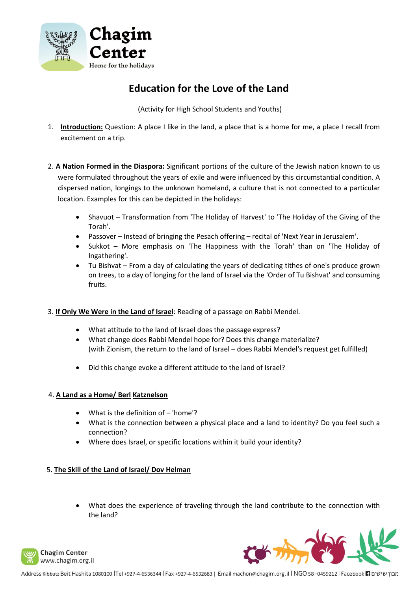

# **Education for the Love of the Land**

(Activity for High School Students and Youths)

- 1. **Introduction:** Question: A place I like in the land, a place that is a home for me, a place I recall from excitement on a trip.
- 2. **A Nation Formed in the Diaspora:** Significant portions of the culture of the Jewish nation known to us were formulated throughout the years of exile and were influenced by this circumstantial condition. A dispersed nation, longings to the unknown homeland, a culture that is not connected to a particular location. Examples for this can be depicted in the holidays:
	- Shavuot Transformation from 'The Holiday of Harvest' to 'The Holiday of the Giving of the Torah'.
	- Passover Instead of bringing the Pesach offering recital of 'Next Year in Jerusalem'.
	- Sukkot More emphasis on 'The Happiness with the Torah' than on 'The Holiday of Ingathering'.
	- Tu Bishvat From a day of calculating the years of dedicating tithes of one's produce grown on trees, to a day of longing for the land of Israel via the 'Order of Tu Bishvat' and consuming fruits.
- 3. **If Only We Were in the Land of Israel**: Reading of a passage on Rabbi Mendel.
	- What attitude to the land of Israel does the passage express?
	- What change does Rabbi Mendel hope for? Does this change materialize? (with Zionism, the return to the land of Israel – does Rabbi Mendel's request get fulfilled)
	- Did this change evoke a different attitude to the land of Israel?

# 4. **A Land as a Home/ Berl Katznelson**

- What is the definition of 'home'?
- What is the connection between a physical place and a land to identity? Do you feel such a connection?
- Where does Israel, or specific locations within it build your identity?

# 5. **The Skill of the Land of Israel/ Dov Helman**

What does the experience of traveling through the land contribute to the connection with the land?



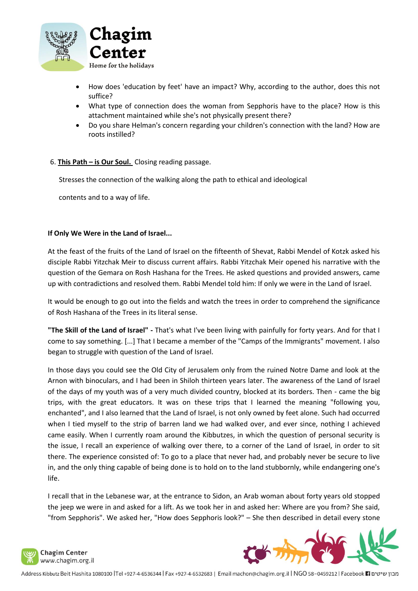

- How does 'education by feet' have an impact? Why, according to the author, does this not suffice?
- What type of connection does the woman from Sepphoris have to the place? How is this attachment maintained while she's not physically present there?
- Do you share Helman's concern regarding your children's connection with the land? How are roots instilled?

### 6. **This Path – is Our Soul.** Closing reading passage.

Stresses the connection of the walking along the path to ethical and ideological

contents and to a way of life.

### **If Only We Were in the Land of Israel...**

At the feast of the fruits of the Land of Israel on the fifteenth of Shevat, Rabbi Mendel of Kotzk asked his disciple Rabbi Yitzchak Meir to discuss current affairs. Rabbi Yitzchak Meir opened his narrative with the question of the Gemara on Rosh Hashana for the Trees. He asked questions and provided answers, came up with contradictions and resolved them. Rabbi Mendel told him: If only we were in the Land of Israel.

It would be enough to go out into the fields and watch the trees in order to comprehend the significance of Rosh Hashana of the Trees in its literal sense.

**"The Skill of the Land of Israel" -** That's what I've been living with painfully for forty years. And for that I come to say something. [...] That I became a member of the "Camps of the Immigrants" movement. I also began to struggle with question of the Land of Israel.

In those days you could see the Old City of Jerusalem only from the ruined Notre Dame and look at the Arnon with binoculars, and I had been in Shiloh thirteen years later. The awareness of the Land of Israel of the days of my youth was of a very much divided country, blocked at its borders. Then - came the big trips, with the great educators. It was on these trips that I learned the meaning "following you, enchanted", and I also learned that the Land of Israel, is not only owned by feet alone. Such had occurred when I tied myself to the strip of barren land we had walked over, and ever since, nothing I achieved came easily. When I currently roam around the Kibbutzes, in which the question of personal security is the issue, I recall an experience of walking over there, to a corner of the Land of Israel, in order to sit there. The experience consisted of: To go to a place that never had, and probably never be secure to live in, and the only thing capable of being done is to hold on to the land stubbornly, while endangering one's life.

I recall that in the Lebanese war, at the entrance to Sidon, an Arab woman about forty years old stopped the jeep we were in and asked for a lift. As we took her in and asked her: Where are you from? She said, "from Sepphoris". We asked her, "How does Sepphoris look?" – She then described in detail every stone